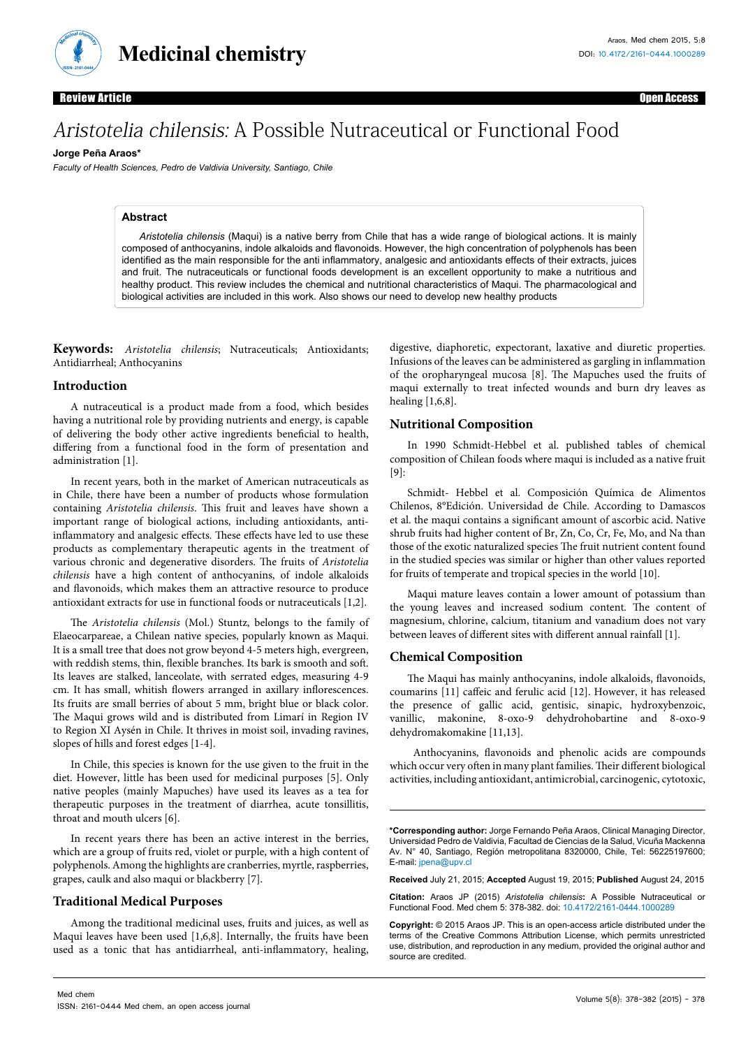

**Medicinal chemistry**

Review Article Open Access

# Aristotelia chilensis: A Possible Nutraceutical or Functional Food

#### **Jorge Peña Araos\***

*Faculty of Health Sciences, Pedro de Valdivia University, Santiago, Chile*

## **Abstract**

*Aristotelia chilensis* (Maqui) is a native berry from Chile that has a wide range of biological actions. It is mainly composed of anthocyanins, indole alkaloids and flavonoids. However, the high concentration of polyphenols has been identified as the main responsible for the anti inflammatory, analgesic and antioxidants effects of their extracts, juices and fruit. The nutraceuticals or functional foods development is an excellent opportunity to make a nutritious and healthy product. This review includes the chemical and nutritional characteristics of Maqui. The pharmacological and biological activities are included in this work. Also shows our need to develop new healthy products

**Keywords:** *Aristotelia chilensis*; Nutraceuticals; Antioxidants; Antidiarrheal; Anthocyanins

#### **Introduction**

A nutraceutical is a product made from a food, which besides having a nutritional role by providing nutrients and energy, is capable of delivering the body other active ingredients beneficial to health, differing from a functional food in the form of presentation and administration [1].

In recent years, both in the market of American nutraceuticals as in Chile, there have been a number of products whose formulation containing *Aristotelia chilensis*. This fruit and leaves have shown a important range of biological actions, including antioxidants, antiinflammatory and analgesic effects. These effects have led to use these products as complementary therapeutic agents in the treatment of various chronic and degenerative disorders. The fruits of *Aristotelia chilensis* have a high content of anthocyanins, of indole alkaloids and flavonoids, which makes them an attractive resource to produce antioxidant extracts for use in functional foods or nutraceuticals [1,2].

The *Aristotelia chilensis* (Mol.) Stuntz, belongs to the family of Elaeocarpareae, a Chilean native species, popularly known as Maqui. It is a small tree that does not grow beyond 4-5 meters high, evergreen, with reddish stems, thin, flexible branches. Its bark is smooth and soft. Its leaves are stalked, lanceolate, with serrated edges, measuring 4-9 cm. It has small, whitish flowers arranged in axillary inflorescences. Its fruits are small berries of about 5 mm, bright blue or black color. The Maqui grows wild and is distributed from Limarí in Region IV to Region XI Aysén in Chile. It thrives in moist soil, invading ravines, slopes of hills and forest edges [1-4].

In Chile, this species is known for the use given to the fruit in the diet. However, little has been used for medicinal purposes [5]. Only native peoples (mainly Mapuches) have used its leaves as a tea for therapeutic purposes in the treatment of diarrhea, acute tonsillitis, throat and mouth ulcers [6].

In recent years there has been an active interest in the berries, which are a group of fruits red, violet or purple, with a high content of polyphenols. Among the highlights are cranberries, myrtle, raspberries, grapes, caulk and also maqui or blackberry [7].

## **Traditional Medical Purposes**

Among the traditional medicinal uses, fruits and juices, as well as Maqui leaves have been used [1,6,8]. Internally, the fruits have been used as a tonic that has antidiarrheal, anti-inflammatory, healing,

digestive, diaphoretic, expectorant, laxative and diuretic properties. Infusions of the leaves can be administered as gargling in inflammation of the oropharyngeal mucosa [8]. The Mapuches used the fruits of maqui externally to treat infected wounds and burn dry leaves as healing [1,6,8].

## **Nutritional Composition**

In 1990 Schmidt-Hebbel et al. published tables of chemical composition of Chilean foods where maqui is included as a native fruit  $[9]$ :

Schmidt- Hebbel et al. Composición Química de Alimentos Chilenos, 8°Edición. Universidad de Chile. According to Damascos et al. the maqui contains a significant amount of ascorbic acid. Native shrub fruits had higher content of Br, Zn, Co, Cr, Fe, Mo, and Na than those of the exotic naturalized species The fruit nutrient content found in the studied species was similar or higher than other values reported for fruits of temperate and tropical species in the world [10].

Maqui mature leaves contain a lower amount of potassium than the young leaves and increased sodium content. The content of magnesium, chlorine, calcium, titanium and vanadium does not vary between leaves of different sites with different annual rainfall [1].

## **Chemical Composition**

The Maqui has mainly anthocyanins, indole alkaloids, flavonoids, coumarins [11] caffeic and ferulic acid [12]. However, it has released the presence of gallic acid, gentisic, sinapic, hydroxybenzoic, vanillic, makonine, 8-oxo-9 dehydrohobartine and 8-oxo-9 dehydromakomakine [11,13].

 Anthocyanins, flavonoids and phenolic acids are compounds which occur very often in many plant families. Their different biological activities, including antioxidant, antimicrobial, carcinogenic, cytotoxic,

**\*Corresponding author:** Jorge Fernando Peña Araos, Clinical Managing Director, Universidad Pedro de Valdivia, Facultad de Ciencias de la Salud, Vicuña Mackenna Av. N° 40, Santiago, Región metropolitana 8320000, Chile, Tel: 56225197600; E-mail: [jpena@upv.cl](mailto:jpena@upv.cl)

**Received** July 21, 2015; **Accepted** August 19, 2015; **Published** August 24, 2015

**Citation:** Araos JP (2015) *Aristotelia chilensis***:** A Possible Nutraceutical or Functional Food. Med chem 5: 378-382. doi: 10.4172/2161-0444.1000289

**Copyright:** © 2015 Araos JP. This is an open-access article distributed under the terms of the Creative Commons Attribution License, which permits unrestricted use, distribution, and reproduction in any medium, provided the original author and source are credited.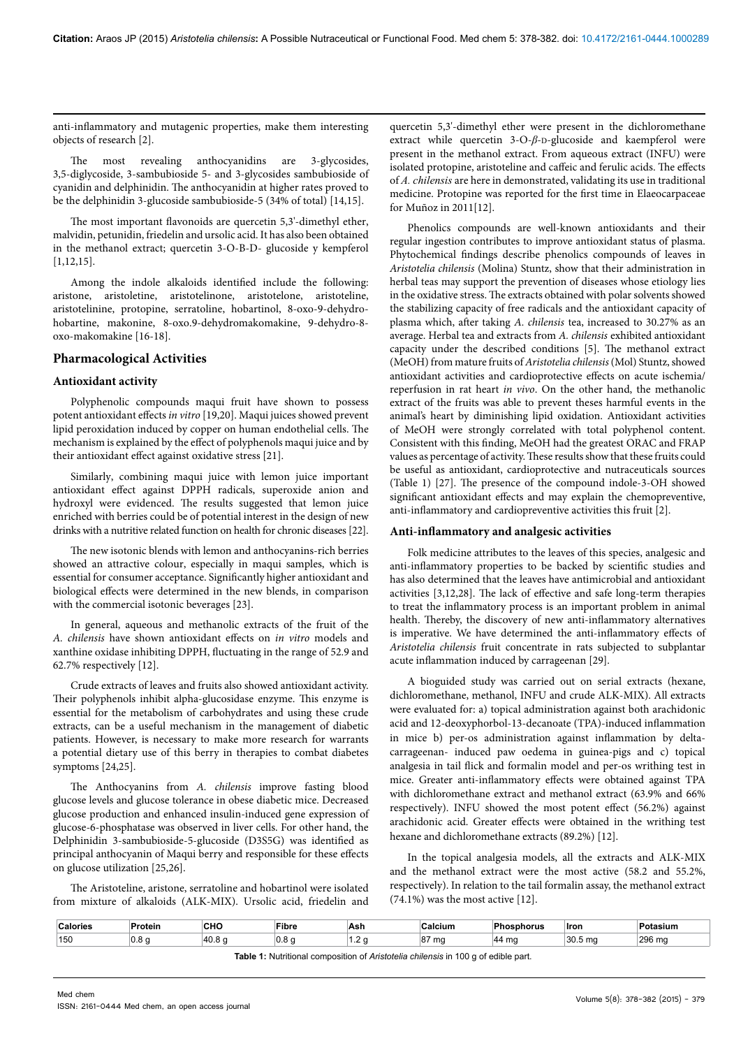anti-inflammatory and mutagenic properties, make them interesting objects of research [2].

The most revealing anthocyanidins are 3-glycosides, 3,5-diglycoside, 3-sambubioside 5- and 3-glycosides sambubioside of cyanidin and delphinidin. The anthocyanidin at higher rates proved to be the delphinidin 3-glucoside sambubioside-5 (34% of total) [14,15].

The most important flavonoids are quercetin 5,3'-dimethyl ether, malvidin, petunidin, friedelin and ursolic acid. It has also been obtained in the methanol extract; quercetin 3-O-B-D- glucoside y kempferol [1,12,15].

Among the indole alkaloids identified include the following: aristone, aristoletine, aristotelinone, aristotelone, aristoteline, aristotelinine, protopine, serratoline, hobartinol, 8-oxo-9-dehydrohobartine, makonine, 8-oxo.9-dehydromakomakine, 9-dehydro-8 oxo-makomakine [16-18].

## **Pharmacological Activities**

## **Antioxidant activity**

Polyphenolic compounds maqui fruit have shown to possess potent antioxidant effects *in vitro* [19,20]. Maqui juices showed prevent lipid peroxidation induced by copper on human endothelial cells. The mechanism is explained by the effect of polyphenols maqui juice and by their antioxidant effect against oxidative stress [21].

Similarly, combining maqui juice with lemon juice important antioxidant effect against DPPH radicals, superoxide anion and hydroxyl were evidenced. The results suggested that lemon juice enriched with berries could be of potential interest in the design of new drinks with a nutritive related function on health for chronic diseases [22].

The new isotonic blends with lemon and anthocyanins-rich berries showed an attractive colour, especially in maqui samples, which is essential for consumer acceptance. Significantly higher antioxidant and biological effects were determined in the new blends, in comparison with the commercial isotonic beverages [23].

In general, aqueous and methanolic extracts of the fruit of the *A. chilensis* have shown antioxidant effects on *in vitro* models and xanthine oxidase inhibiting DPPH, fluctuating in the range of 52.9 and 62.7% respectively [12].

Crude extracts of leaves and fruits also showed antioxidant activity. Their polyphenols inhibit alpha-glucosidase enzyme. This enzyme is essential for the metabolism of carbohydrates and using these crude extracts, can be a useful mechanism in the management of diabetic patients. However, is necessary to make more research for warrants a potential dietary use of this berry in therapies to combat diabetes symptoms [24,25].

The Anthocyanins from *A. chilensis* improve fasting blood glucose levels and glucose tolerance in obese diabetic mice. Decreased glucose production and enhanced insulin-induced gene expression of glucose-6-phosphatase was observed in liver cells. For other hand, the Delphinidin 3-sambubioside-5-glucoside (D3S5G) was identified as principal anthocyanin of Maqui berry and responsible for these effects on glucose utilization [25,26].

The Aristoteline, aristone, serratoline and hobartinol were isolated from mixture of alkaloids (ALK-MIX). Ursolic acid, friedelin and

quercetin 5,3'-dimethyl ether were present in the dichloromethane extract while quercetin 3-O-β-D-glucoside and kaempferol were present in the methanol extract. From aqueous extract (INFU) were isolated protopine, aristoteline and caffeic and ferulic acids. The effects of *A. chilensis* are here in demonstrated, validating its use in traditional medicine. Protopine was reported for the first time in Elaeocarpaceae for Muñoz in 2011[12].

Phenolics compounds are well-known antioxidants and their regular ingestion contributes to improve antioxidant status of plasma. Phytochemical findings describe phenolics compounds of leaves in *Aristotelia chilensis* (Molina) Stuntz, show that their administration in herbal teas may support the prevention of diseases whose etiology lies in the oxidative stress. The extracts obtained with polar solvents showed the stabilizing capacity of free radicals and the antioxidant capacity of plasma which, after taking *A. chilensis* tea, increased to 30.27% as an average. Herbal tea and extracts from *A. chilensis* exhibited antioxidant capacity under the described conditions [5]. The methanol extract (MeOH) from mature fruits of *Aristotelia chilensis* (Mol) Stuntz, showed antioxidant activities and cardioprotective effects on acute ischemia/ reperfusion in rat heart *in vivo*. On the other hand, the methanolic extract of the fruits was able to prevent theses harmful events in the animal's heart by diminishing lipid oxidation. Antioxidant activities of MeOH were strongly correlated with total polyphenol content. Consistent with this finding, MeOH had the greatest ORAC and FRAP values as percentage of activity. These results show that these fruits could be useful as antioxidant, cardioprotective and nutraceuticals sources (Table 1) [27]. The presence of the compound indole-3-OH showed significant antioxidant effects and may explain the chemopreventive, anti-inflammatory and cardiopreventive activities this fruit [2].

## **Anti-inflammatory and analgesic activities**

Folk medicine attributes to the leaves of this species, analgesic and anti-inflammatory properties to be backed by scientific studies and has also determined that the leaves have antimicrobial and antioxidant activities [3,12,28]. The lack of effective and safe long-term therapies to treat the inflammatory process is an important problem in animal health. Thereby, the discovery of new anti-inflammatory alternatives is imperative. We have determined the anti-inflammatory effects of *Aristotelia chilensis* fruit concentrate in rats subjected to subplantar acute inflammation induced by carrageenan [29].

A bioguided study was carried out on serial extracts (hexane, dichloromethane, methanol, INFU and crude ALK-MIX). All extracts were evaluated for: a) topical administration against both arachidonic acid and 12-deoxyphorbol-13-decanoate (TPA)-induced inflammation in mice b) per-os administration against inflammation by deltacarrageenan- induced paw oedema in guinea-pigs and c) topical analgesia in tail flick and formalin model and per-os writhing test in mice. Greater anti-inflammatory effects were obtained against TPA with dichloromethane extract and methanol extract (63.9% and 66% respectively). INFU showed the most potent effect (56.2%) against arachidonic acid. Greater effects were obtained in the writhing test hexane and dichloromethane extracts (89.2%) [12].

In the topical analgesia models, all the extracts and ALK-MIX and the methanol extract were the most active (58.2 and 55.2%, respectively). In relation to the tail formalin assay, the methanol extract (74.1%) was the most active [12].

| `al∩rio⊾ | Protein | 0.10<br>∪⊓५<br>$\sim$ | Fibre<br>$\sim$ $\sim$ | Ash<br>$\sim$ $\sim$ | ∵alcium         | <b>Dh</b><br>sphorus | Iron                      | Potasium |
|----------|---------|-----------------------|------------------------|----------------------|-----------------|----------------------|---------------------------|----------|
| 150      | v.v     | 40.8                  | റ<br>v.v               |                      | 07<br>ma<br>، ب | $\Lambda$<br>ma      | 30E<br>30.5 <sub>ma</sub> | 296 ma   |

**Table 1:** Nutritional composition of *Aristotelia chilensis* in 100 g of edible part.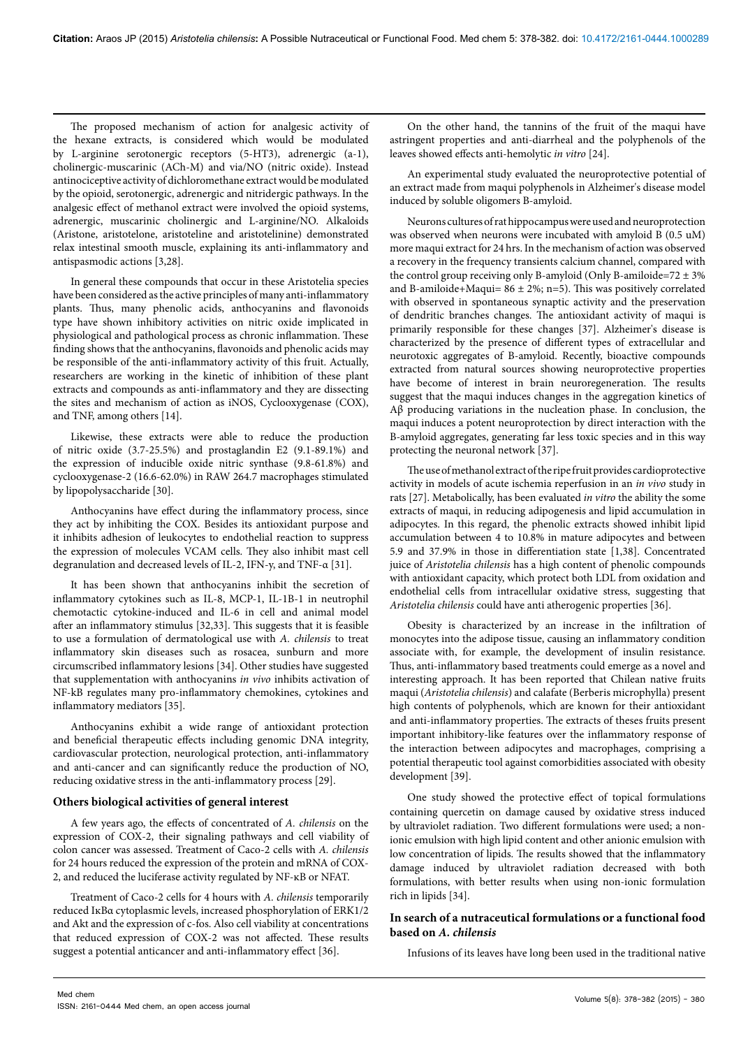The proposed mechanism of action for analgesic activity of the hexane extracts, is considered which would be modulated by L-arginine serotonergic receptors (5-HT3), adrenergic (a-1), cholinergic-muscarinic (ACh-M) and via/NO (nitric oxide). Instead antinociceptive activity of dichloromethane extract would be modulated by the opioid, serotonergic, adrenergic and nitridergic pathways. In the analgesic effect of methanol extract were involved the opioid systems, adrenergic, muscarinic cholinergic and L-arginine/NO. Alkaloids (Aristone, aristotelone, aristoteline and aristotelinine) demonstrated relax intestinal smooth muscle, explaining its anti-inflammatory and antispasmodic actions [3,28].

In general these compounds that occur in these Aristotelia species have been considered as the active principles of many anti-inflammatory plants. Thus, many phenolic acids, anthocyanins and flavonoids type have shown inhibitory activities on nitric oxide implicated in physiological and pathological process as chronic inflammation. These finding shows that the anthocyanins, flavonoids and phenolic acids may be responsible of the anti-inflammatory activity of this fruit. Actually, researchers are working in the kinetic of inhibition of these plant extracts and compounds as anti-inflammatory and they are dissecting the sites and mechanism of action as iNOS, Cyclooxygenase (COX), and TNF, among others [14].

Likewise, these extracts were able to reduce the production of nitric oxide (3.7-25.5%) and prostaglandin E2 (9.1-89.1%) and the expression of inducible oxide nitric synthase (9.8-61.8%) and cyclooxygenase-2 (16.6-62.0%) in RAW 264.7 macrophages stimulated by lipopolysaccharide [30].

Anthocyanins have effect during the inflammatory process, since they act by inhibiting the COX. Besides its antioxidant purpose and it inhibits adhesion of leukocytes to endothelial reaction to suppress the expression of molecules VCAM cells. They also inhibit mast cell degranulation and decreased levels of IL-2, IFN-y, and TNF-α [31].

It has been shown that anthocyanins inhibit the secretion of inflammatory cytokines such as IL-8, MCP-1, IL-1B-1 in neutrophil chemotactic cytokine-induced and IL-6 in cell and animal model after an inflammatory stimulus [32,33]. This suggests that it is feasible to use a formulation of dermatological use with *A. chilensis* to treat inflammatory skin diseases such as rosacea, sunburn and more circumscribed inflammatory lesions [34]. Other studies have suggested that supplementation with anthocyanins *in vivo* inhibits activation of NF-kB regulates many pro-inflammatory chemokines, cytokines and inflammatory mediators [35].

Anthocyanins exhibit a wide range of antioxidant protection and beneficial therapeutic effects including genomic DNA integrity, cardiovascular protection, neurological protection, anti-inflammatory and anti-cancer and can significantly reduce the production of NO, reducing oxidative stress in the anti-inflammatory process [29].

## **Others biological activities of general interest**

A few years ago, the effects of concentrated of *A. chilensis* on the expression of COX-2, their signaling pathways and cell viability of colon cancer was assessed. Treatment of Caco-2 cells with *A. chilensis* for 24 hours reduced the expression of the protein and mRNA of COX-2, and reduced the luciferase activity regulated by NF-ĸB or NFAT.

Treatment of Caco-2 cells for 4 hours with *A. chilensis* temporarily reduced IĸBα cytoplasmic levels, increased phosphorylation of ERK1/2 and Akt and the expression of c-fos. Also cell viability at concentrations that reduced expression of COX-2 was not affected. These results suggest a potential anticancer and anti-inflammatory effect [36].

On the other hand, the tannins of the fruit of the maqui have astringent properties and anti-diarrheal and the polyphenols of the leaves showed effects anti-hemolytic *in vitro* [24].

An experimental study evaluated the neuroprotective potential of an extract made from maqui polyphenols in Alzheimer's disease model induced by soluble oligomers B-amyloid.

Neurons cultures of rat hippocampus were used and neuroprotection was observed when neurons were incubated with amyloid B (0.5 uM) more maqui extract for 24 hrs. In the mechanism of action was observed a recovery in the frequency transients calcium channel, compared with the control group receiving only B-amyloid (Only B-amiloide=72  $\pm$  3% and B-amiloide+Maqui=  $86 \pm 2\%$ ; n=5). This was positively correlated with observed in spontaneous synaptic activity and the preservation of dendritic branches changes. The antioxidant activity of maqui is primarily responsible for these changes [37]. Alzheimer's disease is characterized by the presence of different types of extracellular and neurotoxic aggregates of B-amyloid. Recently, bioactive compounds extracted from natural sources showing neuroprotective properties have become of interest in brain neuroregeneration. The results suggest that the maqui induces changes in the aggregation kinetics of Aβ producing variations in the nucleation phase. In conclusion, the maqui induces a potent neuroprotection by direct interaction with the B-amyloid aggregates, generating far less toxic species and in this way protecting the neuronal network [37].

The use of methanol extract of the ripe fruit provides cardioprotective activity in models of acute ischemia reperfusion in an *in vivo* study in rats [27]. Metabolically, has been evaluated *in vitro* the ability the some extracts of maqui, in reducing adipogenesis and lipid accumulation in adipocytes. In this regard, the phenolic extracts showed inhibit lipid accumulation between 4 to 10.8% in mature adipocytes and between 5.9 and 37.9% in those in differentiation state [1,38]. Concentrated juice of *Aristotelia chilensis* has a high content of phenolic compounds with antioxidant capacity, which protect both LDL from oxidation and endothelial cells from intracellular oxidative stress, suggesting that *Aristotelia chilensis* could have anti atherogenic properties [36].

Obesity is characterized by an increase in the infiltration of monocytes into the adipose tissue, causing an inflammatory condition associate with, for example, the development of insulin resistance. Thus, anti-inflammatory based treatments could emerge as a novel and interesting approach. It has been reported that Chilean native fruits maqui (*Aristotelia chilensis*) and calafate (Berberis microphylla) present high contents of polyphenols, which are known for their antioxidant and anti-inflammatory properties. The extracts of theses fruits present important inhibitory-like features over the inflammatory response of the interaction between adipocytes and macrophages, comprising a potential therapeutic tool against comorbidities associated with obesity development [39].

One study showed the protective effect of topical formulations containing quercetin on damage caused by oxidative stress induced by ultraviolet radiation. Two different formulations were used; a nonionic emulsion with high lipid content and other anionic emulsion with low concentration of lipids. The results showed that the inflammatory damage induced by ultraviolet radiation decreased with both formulations, with better results when using non-ionic formulation rich in lipids [34].

# **In search of a nutraceutical formulations or a functional food based on** *A. chilensis*

Infusions of its leaves have long been used in the traditional native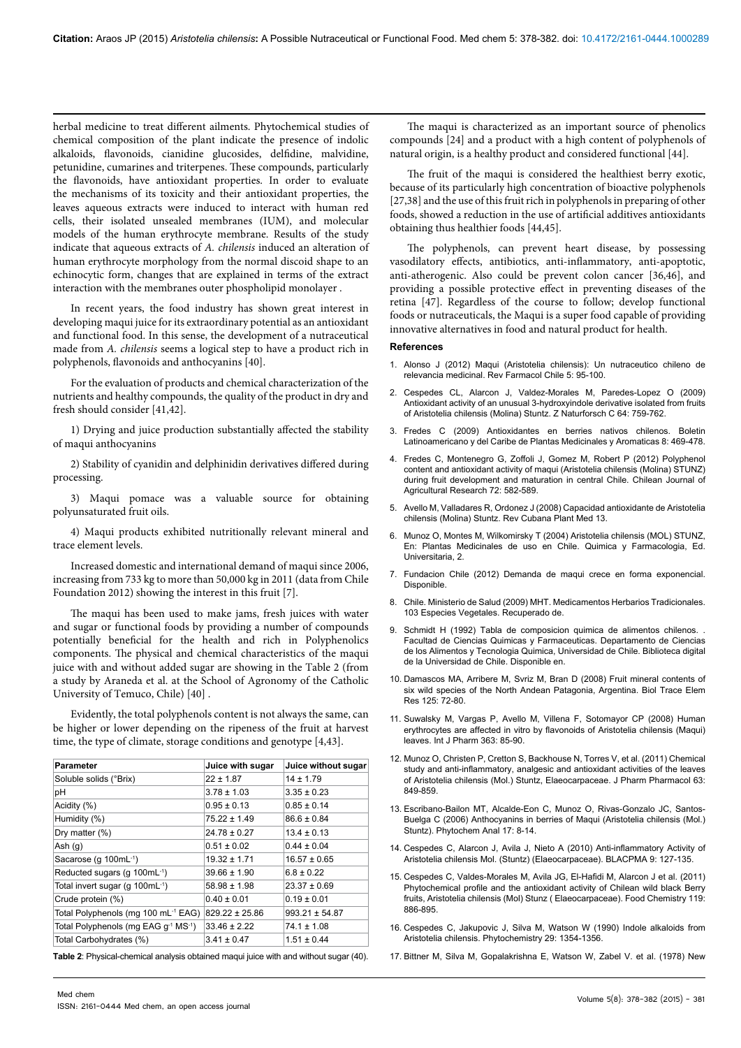herbal medicine to treat different ailments. Phytochemical studies of chemical composition of the plant indicate the presence of indolic alkaloids, flavonoids, cianidine glucosides, delfidine, malvidine, petunidine, cumarines and triterpenes. These compounds, particularly the flavonoids, have antioxidant properties. In order to evaluate the mechanisms of its toxicity and their antioxidant properties, the leaves aqueous extracts were induced to interact with human red cells, their isolated unsealed membranes (IUM), and molecular models of the human erythrocyte membrane. Results of the study indicate that aqueous extracts of *A. chilensis* induced an alteration of human erythrocyte morphology from the normal discoid shape to an echinocytic form, changes that are explained in terms of the extract interaction with the membranes outer phospholipid monolayer .

In recent years, the food industry has shown great interest in developing maqui juice for its extraordinary potential as an antioxidant and functional food. In this sense, the development of a nutraceutical made from *A. chilensis* seems a logical step to have a product rich in polyphenols, flavonoids and anthocyanins [40].

For the evaluation of products and chemical characterization of the nutrients and healthy compounds, the quality of the product in dry and fresh should consider [41,42].

1) Drying and juice production substantially affected the stability of maqui anthocyanins

2) Stability of cyanidin and delphinidin derivatives differed during processing.

3) Maqui pomace was a valuable source for obtaining polyunsaturated fruit oils.

4) Maqui products exhibited nutritionally relevant mineral and trace element levels.

Increased domestic and international demand of maqui since 2006, increasing from 733 kg to more than 50,000 kg in 2011 (data from Chile Foundation 2012) showing the interest in this fruit [7].

The maqui has been used to make jams, fresh juices with water and sugar or functional foods by providing a number of compounds potentially beneficial for the health and rich in Polyphenolics components. The physical and chemical characteristics of the maqui juice with and without added sugar are showing in the Table 2 (from a study by Araneda et al. at the School of Agronomy of the Catholic University of Temuco, Chile) [40] .

Evidently, the total polyphenols content is not always the same, can be higher or lower depending on the ripeness of the fruit at harvest time, the type of climate, storage conditions and genotype [4,43].

| Parameter                                   | Juice with sugar   | Juice without sugar |
|---------------------------------------------|--------------------|---------------------|
| Soluble solids (°Brix)                      | $22 \pm 1.87$      | $14 \pm 1.79$       |
| рH                                          | $3.78 \pm 1.03$    | $3.35 \pm 0.23$     |
| Acidity (%)                                 | $0.95 \pm 0.13$    | $0.85 \pm 0.14$     |
| Humidity (%)                                | $75.22 \pm 1.49$   | $86.6 \pm 0.84$     |
| Dry matter $(\%)$                           | $24.78 \pm 0.27$   | $13.4 \pm 0.13$     |
| Ash $(g)$                                   | $0.51 \pm 0.02$    | $0.44 \pm 0.04$     |
| Sacarose (g 100mL-1)                        | $19.32 \pm 1.71$   | $16.57 \pm 0.65$    |
| Reducted sugars (g 100mL-1)                 | $39.66 \pm 1.90$   | $6.8 \pm 0.22$      |
| Total invert sugar (g 100mL <sup>-1</sup> ) | $58.98 \pm 1.98$   | $23.37 \pm 0.69$    |
| Crude protein (%)                           | $0.40 \pm 0.01$    | $0.19 \pm 0.01$     |
| Total Polyphenols (mg 100 mL-1 EAG)         | $829.22 \pm 25.86$ | $993.21 \pm 54.87$  |
| Total Polyphenols (mg EAG g-1 MS-1)         | $33.46 \pm 2.22$   | $74.1 \pm 1.08$     |
| Total Carbohydrates (%)                     | $3.41 \pm 0.47$    | $1.51 \pm 0.44$     |

The fruit of the maqui is considered the healthiest berry exotic, because of its particularly high concentration of bioactive polyphenols [27,38] and the use of this fruit rich in polyphenols in preparing of other foods, showed a reduction in the use of artificial additives antioxidants obtaining thus healthier foods [44,45].

The polyphenols, can prevent heart disease, by possessing vasodilatory effects, antibiotics, anti-inflammatory, anti-apoptotic, anti-atherogenic. Also could be prevent colon cancer [36,46], and providing a possible protective effect in preventing diseases of the retina [47]. Regardless of the course to follow; develop functional foods or nutraceuticals, the Maqui is a super food capable of providing innovative alternatives in food and natural product for health.

#### **References**

- 1. [Alonso J \(2012\) Maqui \(Aristotelia chilensis\): Un nutraceutico chileno de](http://www.patagonberry.cl/en/publicaciones/maqui-(aristotelia-chilensis)-un-n-6/)  [relevancia medicinal. Rev Farmacol Chile 5: 95-100.](http://www.patagonberry.cl/en/publicaciones/maqui-(aristotelia-chilensis)-un-n-6/)
- 2. [Cespedes CL, Alarcon J, Valdez-Morales M, Paredes-Lopez O \(2009\)](http://www.ncbi.nlm.nih.gov/pubmed/19957448)  [Antioxidant activity of an unusual 3-hydroxyindole derivative isolated from fruits](http://www.ncbi.nlm.nih.gov/pubmed/19957448)  [of Aristotelia chilensis \(Molina\) Stuntz.](http://www.ncbi.nlm.nih.gov/pubmed/19957448) Z Naturforsch C 64: 759-762.
- 3. [Fredes C \(2009\) Antioxidantes en berries nativos chilenos. Boletin](http://www.researchgate.net/profile/Carolina_Fredes/publication/266613634_Antioxidantes_en_berries_nativos_chilenos/links/546802320cf2f5eb18036f88.pdf)  [Latinoamericano y del Caribe de Plantas Medicinales y Aromaticas 8: 469-478.](http://www.researchgate.net/profile/Carolina_Fredes/publication/266613634_Antioxidantes_en_berries_nativos_chilenos/links/546802320cf2f5eb18036f88.pdf)
- 4. [Fredes C, Montenegro G, Zoffoli J, Gomez M, Robert P \(2012\) Polyphenol](http://www.scielo.cl/pdf/chiljar/v72n4/at19.pdf)  [content and antioxidant activity of maqui \(Aristotelia chilensis \(Molina\) STUNZ\)](http://www.scielo.cl/pdf/chiljar/v72n4/at19.pdf)  [during fruit development and maturation in central Chile. Chilean Journal of](http://www.scielo.cl/pdf/chiljar/v72n4/at19.pdf)  [Agricultural Research 72: 582-589.](http://www.scielo.cl/pdf/chiljar/v72n4/at19.pdf)
- 5. [Avello M, Valladares R, Ordonez J \(2008\) Capacidad antioxidante de Aristotelia](http://scielo.sld.cu/scielo.php?pid=S1028-47962008000400002&script=sci_arttext&tlng=pt)  [chilensis \(Molina\) Stuntz. Rev Cubana Plant Med 13.](http://scielo.sld.cu/scielo.php?pid=S1028-47962008000400002&script=sci_arttext&tlng=pt)
- 6. Munoz O, Montes M, Wilkomirsky T (2004) Aristotelia chilensis (MOL) STUNZ, En: Plantas Medicinales de uso en Chile. Quimica y Farmacologia, Ed. Universitaria, 2.
- 7. [Fundacion Chile \(2012\) Demanda de maqui crece en forma exponencial.](http://www.fch.cl/demanda-de-maqui-crece-en-forma-exponencial/)  [Disponible.](http://www.fch.cl/demanda-de-maqui-crece-en-forma-exponencial/)
- 8. [Chile. Ministerio de Salud \(2009\) MHT. Medicamentos Herbarios Tradicionales.](http://web.minsal.cl/sites/default/files/files/libreo MHT ,2010.pdf)  [103 Especies Vegetales. Recuperado de.](http://web.minsal.cl/sites/default/files/files/libreo MHT ,2010.pdf)
- 9. Schmidt H (1992) Tabla de composicion quimica de alimentos chilenos. [Facultad de Ciencias Quimicas y Farmaceuticas. Departamento de Ciencias](http://www.libros.uchile.cl/files/presses/1/monographs/426/submission/proof/files/assets/common/downloads/publication.pdf)  [de los Alimentos y Tecnologia Quimica, Universidad de Chile. Biblioteca digital](http://www.libros.uchile.cl/files/presses/1/monographs/426/submission/proof/files/assets/common/downloads/publication.pdf)  [de la Universidad de Chile. Disponible en.](http://www.libros.uchile.cl/files/presses/1/monographs/426/submission/proof/files/assets/common/downloads/publication.pdf)
- 10. Dam[ascos MA, Arribere M, Svriz M, Bran D \(2008\) Fruit mineral contents of](http://www.ncbi.nlm.nih.gov/pubmed/18512032)  [six wild species of the North Andean Patagonia, Argentina.](http://www.ncbi.nlm.nih.gov/pubmed/18512032) Biol Trace Elem [Res 125: 72-80.](http://www.ncbi.nlm.nih.gov/pubmed/18512032)
- 11. [Suwalsky M, Vargas P, Avello M, Villena F, Sotomayor CP \(2008\) Human](http://www.ncbi.nlm.nih.gov/pubmed/18687390)  [erythrocytes are affected in vitro by flavonoids of Aristotelia chilensis \(Maqui\)](http://www.ncbi.nlm.nih.gov/pubmed/18687390)  leaves. [Int J Pharm 363: 85-90.](http://www.ncbi.nlm.nih.gov/pubmed/18687390)
- 12. [Munoz O, Christen P, Cretton S, Backhouse N, Torres V, et al. \(2011\) Chemical](http://www.ncbi.nlm.nih.gov/pubmed/21585384)  [study and anti-inflammatory, analgesic and antioxidant activities of the leaves](http://www.ncbi.nlm.nih.gov/pubmed/21585384)  [of Aristotelia chilensis \(Mol.\) Stuntz, Elaeocarpaceae.](http://www.ncbi.nlm.nih.gov/pubmed/21585384) J Pharm Pharmacol 63: [849-859.](http://www.ncbi.nlm.nih.gov/pubmed/21585384)
- 13. [Escribano-Bailon MT, Alcalde-Eon C, Munoz O, Rivas-Gonzalo JC, Santos-](http://www.ncbi.nlm.nih.gov/pubmed/16454470)[Buelga C \(2006\) Anthocyanins in berries of Maqui \(Aristotelia chilensis \(Mol.\)](http://www.ncbi.nlm.nih.gov/pubmed/16454470)  Stuntz). [Phytochem Anal 17: 8-14.](http://www.ncbi.nlm.nih.gov/pubmed/16454470)
- 14. Cespedes C, Alarcon J, Avila J, [Nieto A \(2010\) Anti-inflammatory Activity of](http://www.researchgate.net/profile/Carlos_L_Cespedes/publication/50285555_Anti-inflammatory_Antioedema_and_Gastroprotective_Activities_of_Aristotelia_chilensis_Extracts_Part_2/links/09499fccc47e5c00a8b819a6.pdf)  [Aristotelia chilensis Mol. \(Stuntz\) \(Elaeocarpaceae\). BLACPMA 9: 127-135.](http://www.researchgate.net/profile/Carlos_L_Cespedes/publication/50285555_Anti-inflammatory_Antioedema_and_Gastroprotective_Activities_of_Aristotelia_chilensis_Extracts_Part_2/links/09499fccc47e5c00a8b819a6.pdf)
- 15. [Cespedes C, Valdes-Morales M, Avila JG, El-Hafidi M, Alarcon J et al. \(2011\)](http://www.sciencedirect.com/science/article/pii/S0308814609009327)  [Phytochemical profile and the antioxidant activity of Chilean wild black Berry](http://www.sciencedirect.com/science/article/pii/S0308814609009327)  [fruits, Aristotelia chilensis \(Mol\) Stunz \( Elaeocarpaceae\). Food Chemistry 119:](http://www.sciencedirect.com/science/article/pii/S0308814609009327)  [886-895.](http://www.sciencedirect.com/science/article/pii/S0308814609009327)
- 16. [Cespedes C, Jakupovic J, Silva M, Watson W \(1990\) Indole alkaloids from](http://www.sciencedirect.com/science/article/pii/003194229085469V)  [Aristotelia chilensis. Phytochemistry 29: 1354-1356.](http://www.sciencedirect.com/science/article/pii/003194229085469V)
- **Table 2**: Physical-chemical analysis obtained maqui juice with and without sugar (40). 17. [Bittner M, Silva M, Gopalakrishna E, Watson W, Zabel V. et al. \(1978\) New](http://pubs.rsc.org/en/content/articlelanding/1978/c3/c39780000079#!divAbstract)